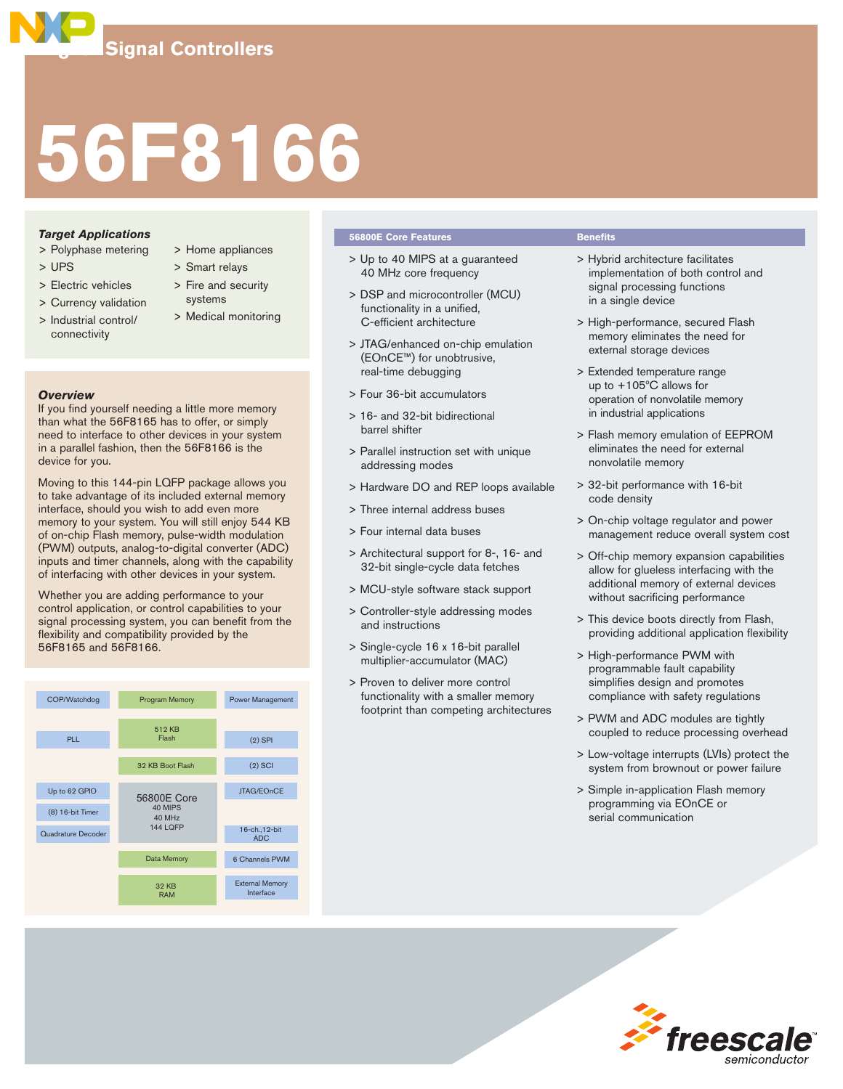# **56F8166**

# *Target Applications*

- > Polyphase metering
- > UPS
- > Electric vehicles
- > Currency validation
- > Industrial control/ connectivity
- > Home appliances
- > Smart relays
- > Fire and security systems
- > Medical monitoring

# *Overview*

If you find yourself needing a little more memory than what the 56F8165 has to offer, or simply need to interface to other devices in your system in a parallel fashion, then the 56F8166 is the device for you.

Moving to this 144-pin LQFP package allows you to take advantage of its included external memory interface, should you wish to add even more memory to your system. You will still enjoy 544 KB of on-chip Flash memory, pulse-width modulation (PWM) outputs, analog-to-digital converter (ADC) inputs and timer channels, along with the capability of interfacing with other devices in your system.

Whether you are adding performance to your control application, or control capabilities to your signal processing system, you can benefit from the flexibility and compatibility provided by the 56F8165 and 56F8166.



# **56800E Core Features Benefits**

- > Up to 40 MIPS at a guaranteed 40 MHz core frequency
- > DSP and microcontroller (MCU) functionality in a unified, C-efficient architecture
- > JTAG/enhanced on-chip emulation (EOnCE™) for unobtrusive, real-time debugging
- > Four 36-bit accumulators
- > 16- and 32-bit bidirectional barrel shifter
- > Parallel instruction set with unique addressing modes
- > Hardware DO and REP loops available
- > Three internal address buses
- > Four internal data buses
- > Architectural support for 8-, 16- and 32-bit single-cycle data fetches
- > MCU-style software stack support
- > Controller-style addressing modes and instructions
- > Single-cycle 16 x 16-bit parallel multiplier-accumulator (MAC)
- > Proven to deliver more control functionality with a smaller memory footprint than competing architectures

- > Hybrid architecture facilitates implementation of both control and signal processing functions in a single device
- > High-performance, secured Flash memory eliminates the need for external storage devices
- > Extended temperature range up to +105ºC allows for operation of nonvolatile memory in industrial applications
- > Flash memory emulation of EEPROM eliminates the need for external nonvolatile memory
- > 32-bit performance with 16-bit code density
- > On-chip voltage regulator and power management reduce overall system cost
- > Off-chip memory expansion capabilities allow for glueless interfacing with the additional memory of external devices without sacrificing performance
- > This device boots directly from Flash, providing additional application flexibility
- > High-performance PWM with programmable fault capability simplifies design and promotes compliance with safety regulations
- > PWM and ADC modules are tightly coupled to reduce processing overhead
- > Low-voltage interrupts (LVIs) protect the system from brownout or power failure
- > Simple in-application Flash memory programming via EOnCE or serial communication